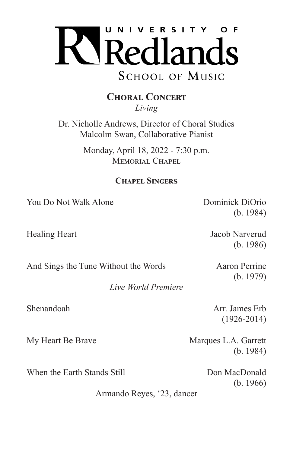

## **Choral Concert** *Living*

Dr. Nicholle Andrews, Director of Choral Studies Malcolm Swan, Collaborative Pianist

> Monday, April 18, 2022 - 7:30 p.m. MEMORIAL CHAPEL

## **Chapel Singers**

*Live World Premiere*

You Do Not Walk Alone Dominick DiOrio

Healing Heart Jacob Narverud

(b. 1986)

(b. 1984)

And Sings the Tune Without the Words Aaron Perrine

(b. 1979)

Shenandoah Arr. James Erb (1926-2014)

My Heart Be Brave Marques L.A. Garrett

(b. 1984)

When the Earth Stands Still **Earth** Don MacDonald

(b. 1966)

Armando Reyes, '23, dancer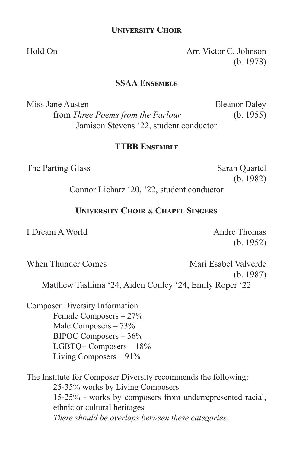## **University Choir**

Hold On Arr. Victor C. Johnson (b. 1978)

### **SSAA Ensemble**

Miss Jane Austen **Eleanor Daley** from *Three Poems from the Parlour* (b. 1955) Jamison Stevens '22, student conductor

### **TTBB Ensemble**

The Parting Glass Sarah Quartel

(b. 1982)

Connor Licharz '20, '22, student conductor

## **University Choir & Chapel Singers**

I Dream A World Andre Thomas

(b. 1952)

When Thunder Comes **Mari** Esabel Valverde (b. 1987) Matthew Tashima '24, Aiden Conley '24, Emily Roper '22

Composer Diversity Information Female Composers – 27% Male Composers – 73% BIPOC Composers – 36% LGBTQ+ Composers – 18% Living Composers – 91%

The Institute for Composer Diversity recommends the following: 25-35% works by Living Composers 15-25% - works by composers from underrepresented racial, ethnic or cultural heritages *There should be overlaps between these categories.*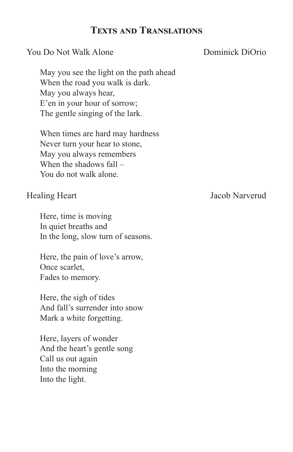# **Texts and Translations**

## **You Do Not Walk Alone** Dominick DiOrio

May you see the light on the path ahead When the road you walk is dark. May you always hear, E'en in your hour of sorrow; The gentle singing of the lark.

When times are hard may hardness Never turn your hear to stone, May you always remembers When the shadows fall – You do not walk alone.

Here, time is moving In quiet breaths and In the long, slow turn of seasons.

Here, the pain of love's arrow, Once scarlet, Fades to memory.

Here, the sigh of tides And fall's surrender into snow Mark a white forgetting.

Here, layers of wonder And the heart's gentle song Call us out again Into the morning Into the light.

Healing Heart Jacob Narverud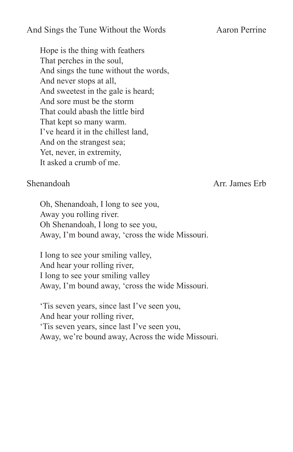## And Sings the Tune Without the Words Aaron Perrine

Hope is the thing with feathers That perches in the soul, And sings the tune without the words, And never stops at all, And sweetest in the gale is heard; And sore must be the storm That could abash the little bird That kept so many warm. I've heard it in the chillest land, And on the strangest sea; Yet, never, in extremity, It asked a crumb of me.

Shenandoah **Arr. James Erb** 

Oh, Shenandoah, I long to see you, Away you rolling river. Oh Shenandoah, I long to see you, Away, I'm bound away, 'cross the wide Missouri.

I long to see your smiling valley, And hear your rolling river, I long to see your smiling valley Away, I'm bound away, 'cross the wide Missouri.

'Tis seven years, since last I've seen you, And hear your rolling river, 'Tis seven years, since last I've seen you, Away, we're bound away, Across the wide Missouri.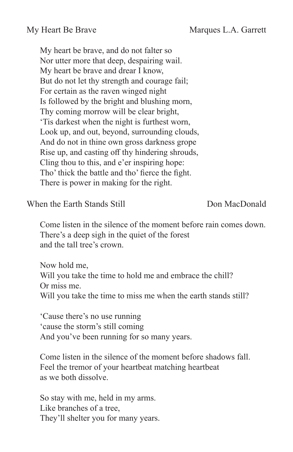My heart be brave, and do not falter so Nor utter more that deep, despairing wail. My heart be brave and drear I know, But do not let thy strength and courage fail; For certain as the raven winged night Is followed by the bright and blushing morn, Thy coming morrow will be clear bright, 'Tis darkest when the night is furthest worn, Look up, and out, beyond, surrounding clouds, And do not in thine own gross darkness grope Rise up, and casting off thy hindering shrouds, Cling thou to this, and e'er inspiring hope: Tho' thick the battle and tho' fierce the fight. There is power in making for the right.

When the Earth Stands Still **Don MacDonald** 

Come listen in the silence of the moment before rain comes down. There's a deep sigh in the quiet of the forest and the tall tree's crown.

Now hold me, Will you take the time to hold me and embrace the chill? Or miss me. Will you take the time to miss me when the earth stands still?

'Cause there's no use running 'cause the storm's still coming And you've been running for so many years.

Come listen in the silence of the moment before shadows fall. Feel the tremor of your heartbeat matching heartbeat as we both dissolve.

So stay with me, held in my arms. Like branches of a tree, They'll shelter you for many years.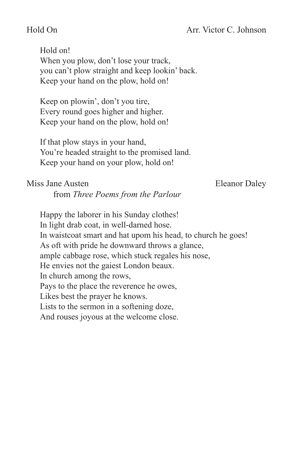## Hold On Arr. Victor C. Johnson

Hold on! When you plow, don't lose your track, you can't plow straight and keep lookin' back. Keep your hand on the plow, hold on!

Keep on plowin', don't you tire, Every round goes higher and higher. Keep your hand on the plow, hold on!

If that plow stays in your hand, You're headed straight to the promised land. Keep your hand on your plow, hold on!

## Miss Jane Austen **Eleanor** Daley

from *Three Poems from the Parlour*

Happy the laborer in his Sunday clothes! In light drab coat, in well-darned hose. In waistcoat smart and hat upom his head, to church he goes! As oft with pride he downward throws a glance, ample cabbage rose, which stuck regales his nose, He envies not the gaiest London beaux. In church among the rows, Pays to the place the reverence he owes, Likes best the prayer he knows. Lists to the sermon in a softening doze, And rouses joyous at the welcome close.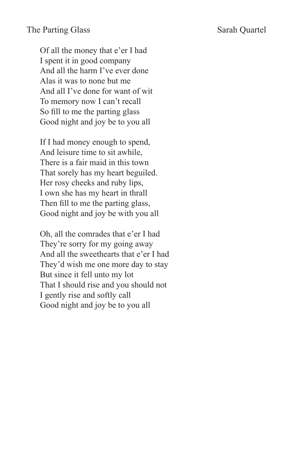## The Parting Glass Sarah Quartel

Of all the money that e'er I had I spent it in good company And all the harm I've ever done Alas it was to none but me And all I've done for want of wit To memory now I can't recall So fill to me the parting glass Good night and joy be to you all

If I had money enough to spend, And leisure time to sit awhile, There is a fair maid in this town That sorely has my heart beguiled. Her rosy cheeks and ruby lips, I own she has my heart in thrall Then fill to me the parting glass, Good night and joy be with you all

Oh, all the comrades that e'er I had They're sorry for my going away And all the sweethearts that e'er I had They'd wish me one more day to stay But since it fell unto my lot That I should rise and you should not I gently rise and softly call Good night and joy be to you all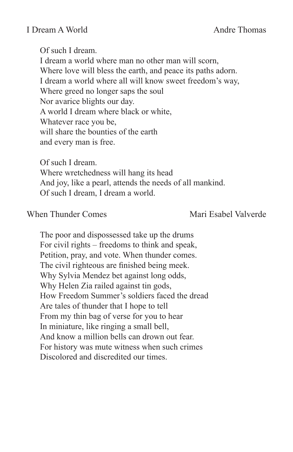Of such I dream. I dream a world where man no other man will scorn, Where love will bless the earth, and peace its paths adorn. I dream a world where all will know sweet freedom's way, Where greed no longer saps the soul Nor avarice blights our day. A world I dream where black or white, Whatever race you be, will share the bounties of the earth and every man is free.

Of such I dream. Where wretchedness will hang its head And joy, like a pearl, attends the needs of all mankind. Of such I dream, I dream a world.

### When Thunder Comes Mari Esabel Valverde

The poor and dispossessed take up the drums For civil rights – freedoms to think and speak, Petition, pray, and vote. When thunder comes. The civil righteous are finished being meek. Why Sylvia Mendez bet against long odds, Why Helen Zia railed against tin gods, How Freedom Summer's soldiers faced the dread Are tales of thunder that I hope to tell From my thin bag of verse for you to hear In miniature, like ringing a small bell, And know a million bells can drown out fear. For history was mute witness when such crimes Discolored and discredited our times.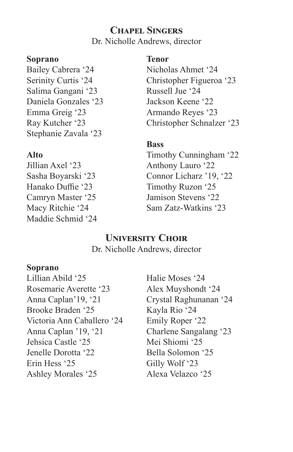# **Chapel Singers**

Dr. Nicholle Andrews, director

## **Soprano**

Bailey Cabrera '24 Serinity Curtis '24 Salima Gangani '23 Daniela Gonzales '23 Emma Greig '23 Ray Kutcher '23 Stephanie Zavala '23

## **Alto**

Jillian Axel '23 Sasha Boyarski '23 Hanako Duffie '23 Camryn Master '25 Macy Ritchie '24 Maddie Schmid '24

## **Tenor**

Nicholas Ahmet '24 Christopher Figueroa '23 Russell Jue '24 Jackson Keene '22 Armando Reyes '23 Christopher Schnalzer '23

## **Bass**

Timothy Cunningham '22 Anthony Lauro '22 Connor Licharz '19, '22 Timothy Ruzon '25 Jamison Stevens '22 Sam Zatz-Watkins '23

# **University Choir**

Dr. Nicholle Andrews, director

## **Soprano**

Lillian Abild '25 Rosemarie Averette '23 Anna Caplan'19, '21 Brooke Braden '25 Victoria Ann Caballero '24 Anna Caplan '19, '21 Jehsica Castle '25 Jenelle Dorotta '22 Erin Hess '25 Ashley Morales '25

Halie Moses '24 Alex Muyshondt '24 Crystal Raghunanan '24 Kayla Rio '24 Emily Roper '22 Charlene Sangalang '23 Mei Shiomi '25 Bella Solomon '25 Gilly Wolf '23 Alexa Velazco '25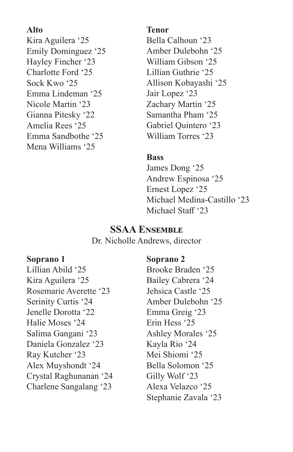## **Alto**

Kira Aguilera '25 Emily Dominguez '25 Hayley Fincher '23 Charlotte Ford '25 Sock Kwo '25 Emma Lindeman '25 Nicole Martin '23 Gianna Pitesky '22 Amelia Rees '25 Emma Sandbothe '25 Mena Williams '25

### **Tenor**

Bella Calhoun '23 Amber Dulebohn '25 William Gibson '25 Lillian Guthrie '25 Allison Kobayashi '25 Jair Lopez '23 Zachary Martin '25 Samantha Pham '25 Gabriel Quintero '23 William Torres '23

## **Bass**

James Dong '25 Andrew Espinosa '25 Ernest Lopez '25 Michael Medina-Castillo '23 Michael Staff '23

# **SSAA Ensemble**

Dr. Nicholle Andrews, director

## **Soprano 1**

Lillian Abild '25 Kira Aguilera '25 Rosemarie Averette '23 Serinity Curtis '24 Jenelle Dorotta '22 Halie Moses '24 Salima Gangani '23 Daniela Gonzalez '23 Ray Kutcher '23 Alex Muyshondt '24 Crystal Raghunanan '24 Charlene Sangalang '23

## **Soprano 2**

Brooke Braden '25 Bailey Cabrera '24 Jehsica Castle '25 Amber Dulebohn '25 Emma Greig '23 Erin Hess '25 Ashley Morales '25 Kayla Rio '24 Mei Shiomi '25 Bella Solomon '25 Gilly Wolf '23 Alexa Velazco '25 Stephanie Zavala '23